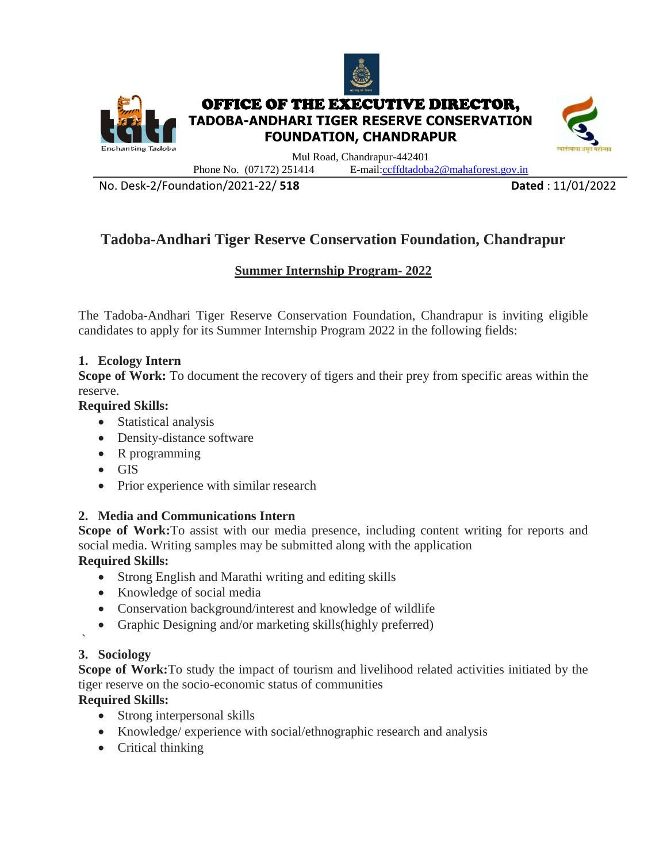



# OFFICE OF THE EXECUTIVE DIRECTOR, **TADOBA-ANDHARI TIGER RESERVE CONSERVATION FOUNDATION, CHANDRAPUR**



Mul Road, Chandrapur-442401

Phone No. (07172) 251414 E-mail[:ccffdtadoba2@mahaforest.gov.in](mailto:ccffdtadoba2@mahaforest.gov.in)

No. Desk-2/Foundation/2021-22/ **518 Dated** : 11/01/2022

# **Tadoba-Andhari Tiger Reserve Conservation Foundation, Chandrapur**

# **Summer Internship Program- 2022**

The Tadoba-Andhari Tiger Reserve Conservation Foundation, Chandrapur is inviting eligible candidates to apply for its Summer Internship Program 2022 in the following fields:

# **1. Ecology Intern**

**Scope of Work:** To document the recovery of tigers and their prey from specific areas within the reserve.

# **Required Skills:**

- Statistical analysis
- Density-distance software
- R programming
- GIS
- Prior experience with similar research

# **2. Media and Communications Intern**

**Scope of Work:**To assist with our media presence, including content writing for reports and social media. Writing samples may be submitted along with the application **Required Skills:**

- Strong English and Marathi writing and editing skills
- Knowledge of social media
- Conservation background/interest and knowledge of wildlife
- Graphic Designing and/or marketing skills(highly preferred)

#### ` **3. Sociology**

**Scope of Work:**To study the impact of tourism and livelihood related activities initiated by the tiger reserve on the socio-economic status of communities

# **Required Skills:**

- Strong interpersonal skills
- Knowledge/ experience with social/ethnographic research and analysis
- Critical thinking